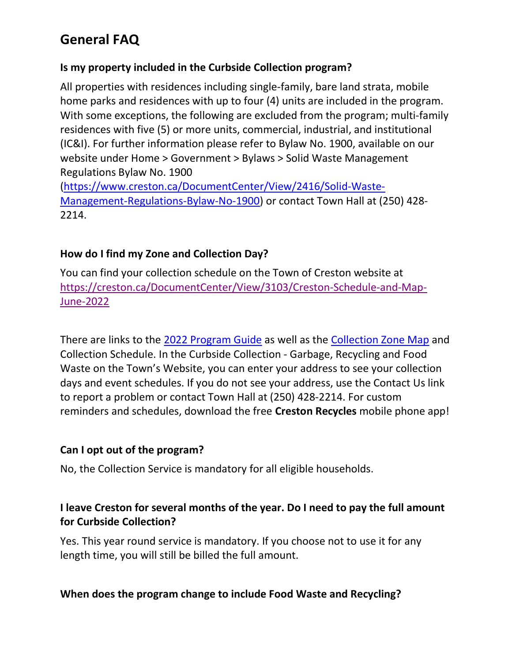### Is my property included in the Curbside Collection program?

All properties with residences including single-family, bare land strata, mobile home parks and residences with up to four (4) units are included in the program. With some exceptions, the following are excluded from the program; multi-family residences with five (5) or more units, commercial, industrial, and institutional (IC&I). For further information please refer to Bylaw No. 1900, available on our website under Home > Government > Bylaws > Solid Waste Management Regulations Bylaw No. 1900

(https://www.creston.ca/DocumentCenter/View/2416/Solid-Waste-Management-Regulations-Bylaw-No-1900) or contact Town Hall at (250) 428- 2214.

### How do I find my Zone and Collection Day?

You can find your collection schedule on the Town of Creston website at https://creston.ca/DocumentCenter/View/3103/Creston-Schedule-and-Map-June-2022

There are links to the 2022 Program Guide as well as the Collection Zone Map and Collection Schedule. In the Curbside Collection - Garbage, Recycling and Food Waste on the Town's Website, you can enter your address to see your collection days and event schedules. If you do not see your address, use the Contact Us link to report a problem or contact Town Hall at (250) 428-2214. For custom reminders and schedules, download the free Creston Recycles mobile phone app!

#### Can I opt out of the program?

No, the Collection Service is mandatory for all eligible households.

## I leave Creston for several months of the year. Do I need to pay the full amount for Curbside Collection?

Yes. This year round service is mandatory. If you choose not to use it for any length time, you will still be billed the full amount.

## When does the program change to include Food Waste and Recycling?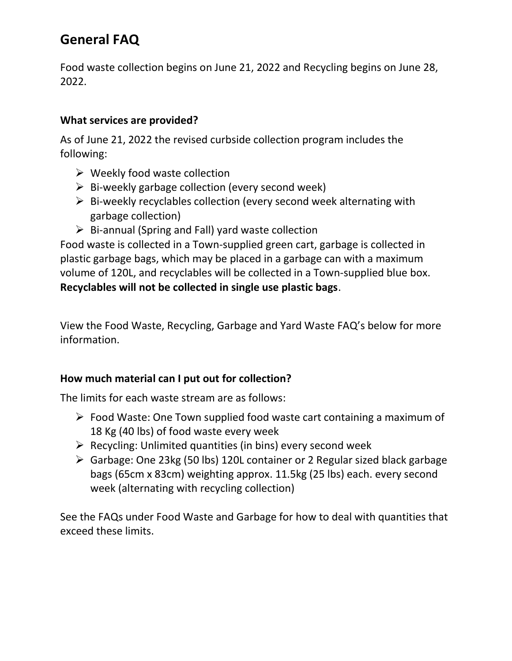Food waste collection begins on June 21, 2022 and Recycling begins on June 28, 2022.

### What services are provided?

As of June 21, 2022 the revised curbside collection program includes the following:

- $\triangleright$  Weekly food waste collection
- $\triangleright$  Bi-weekly garbage collection (every second week)
- $\triangleright$  Bi-weekly recyclables collection (every second week alternating with garbage collection)
- $\triangleright$  Bi-annual (Spring and Fall) yard waste collection

Food waste is collected in a Town-supplied green cart, garbage is collected in plastic garbage bags, which may be placed in a garbage can with a maximum volume of 120L, and recyclables will be collected in a Town-supplied blue box. Recyclables will not be collected in single use plastic bags.

View the Food Waste, Recycling, Garbage and Yard Waste FAQ's below for more information.

## How much material can I put out for collection?

The limits for each waste stream are as follows:

- $\triangleright$  Food Waste: One Town supplied food waste cart containing a maximum of 18 Kg (40 lbs) of food waste every week
- $\triangleright$  Recycling: Unlimited quantities (in bins) every second week
- Garbage: One 23kg (50 lbs) 120L container or 2 Regular sized black garbage bags (65cm x 83cm) weighting approx. 11.5kg (25 lbs) each. every second week (alternating with recycling collection)

See the FAQs under Food Waste and Garbage for how to deal with quantities that exceed these limits.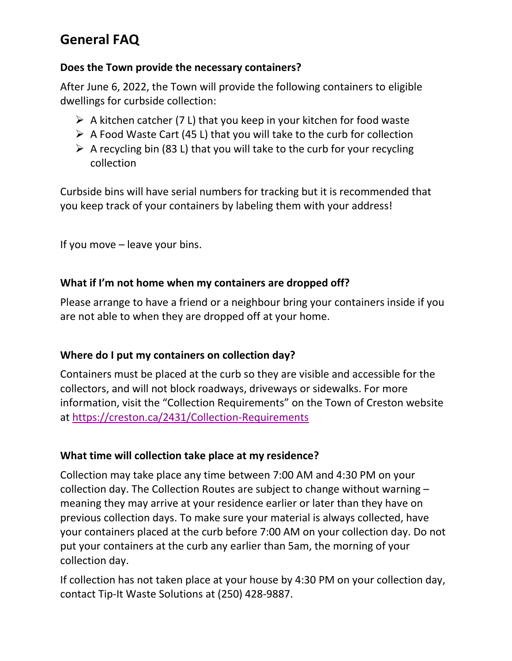#### Does the Town provide the necessary containers?

After June 6, 2022, the Town will provide the following containers to eligible dwellings for curbside collection:

- $\triangleright$  A kitchen catcher (7 L) that you keep in your kitchen for food waste
- $\triangleright$  A Food Waste Cart (45 L) that you will take to the curb for collection
- $\triangleright$  A recycling bin (83 L) that you will take to the curb for your recycling collection

Curbside bins will have serial numbers for tracking but it is recommended that you keep track of your containers by labeling them with your address!

If you move – leave your bins.

#### What if I'm not home when my containers are dropped off?

Please arrange to have a friend or a neighbour bring your containers inside if you are not able to when they are dropped off at your home.

## Where do I put my containers on collection day?

Containers must be placed at the curb so they are visible and accessible for the collectors, and will not block roadways, driveways or sidewalks. For more information, visit the "Collection Requirements" on the Town of Creston website at https://creston.ca/2431/Collection-Requirements

#### What time will collection take place at my residence?

Collection may take place any time between 7:00 AM and 4:30 PM on your collection day. The Collection Routes are subject to change without warning – meaning they may arrive at your residence earlier or later than they have on previous collection days. To make sure your material is always collected, have your containers placed at the curb before 7:00 AM on your collection day. Do not put your containers at the curb any earlier than 5am, the morning of your collection day.

If collection has not taken place at your house by 4:30 PM on your collection day, contact Tip-It Waste Solutions at (250) 428-9887.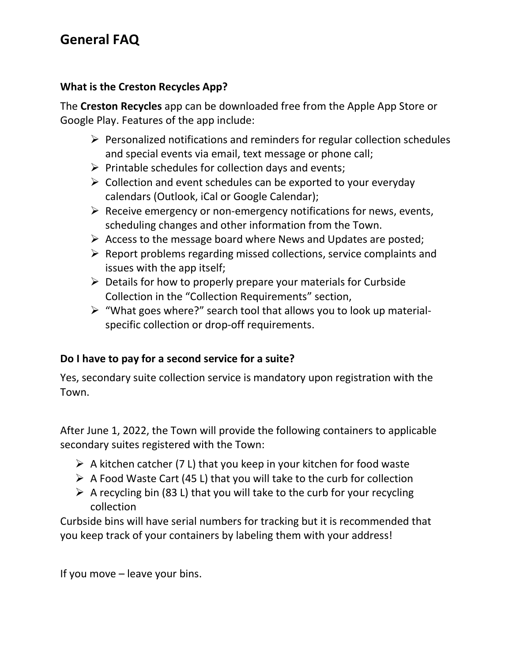#### What is the Creston Recycles App?

The Creston Recycles app can be downloaded free from the Apple App Store or Google Play. Features of the app include:

- $\triangleright$  Personalized notifications and reminders for regular collection schedules and special events via email, text message or phone call;
- $\triangleright$  Printable schedules for collection days and events;
- $\triangleright$  Collection and event schedules can be exported to your everyday calendars (Outlook, iCal or Google Calendar);
- $\triangleright$  Receive emergency or non-emergency notifications for news, events, scheduling changes and other information from the Town.
- $\triangleright$  Access to the message board where News and Updates are posted;
- $\triangleright$  Report problems regarding missed collections, service complaints and issues with the app itself;
- $\triangleright$  Details for how to properly prepare your materials for Curbside Collection in the "Collection Requirements" section,
- $\triangleright$  "What goes where?" search tool that allows you to look up materialspecific collection or drop-off requirements.

#### Do I have to pay for a second service for a suite?

Yes, secondary suite collection service is mandatory upon registration with the Town.

After June 1, 2022, the Town will provide the following containers to applicable secondary suites registered with the Town:

- $\triangleright$  A kitchen catcher (7 L) that you keep in your kitchen for food waste
- $\triangleright$  A Food Waste Cart (45 L) that you will take to the curb for collection
- $\triangleright$  A recycling bin (83 L) that you will take to the curb for your recycling collection

Curbside bins will have serial numbers for tracking but it is recommended that you keep track of your containers by labeling them with your address!

If you move – leave your bins.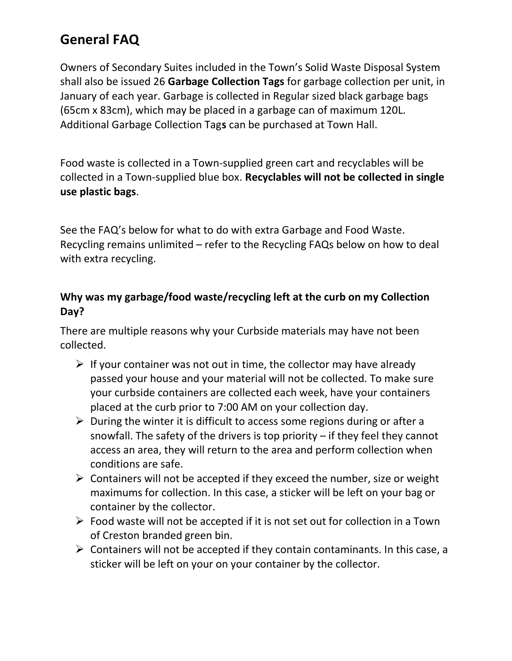Owners of Secondary Suites included in the Town's Solid Waste Disposal System shall also be issued 26 Garbage Collection Tags for garbage collection per unit, in January of each year. Garbage is collected in Regular sized black garbage bags (65cm x 83cm), which may be placed in a garbage can of maximum 120L. Additional Garbage Collection Tags can be purchased at Town Hall.

Food waste is collected in a Town-supplied green cart and recyclables will be collected in a Town-supplied blue box. Recyclables will not be collected in single use plastic bags.

See the FAQ's below for what to do with extra Garbage and Food Waste. Recycling remains unlimited – refer to the Recycling FAQs below on how to deal with extra recycling.

## Why was my garbage/food waste/recycling left at the curb on my Collection Day?

There are multiple reasons why your Curbside materials may have not been collected.

- $\triangleright$  If your container was not out in time, the collector may have already passed your house and your material will not be collected. To make sure your curbside containers are collected each week, have your containers placed at the curb prior to 7:00 AM on your collection day.
- $\triangleright$  During the winter it is difficult to access some regions during or after a snowfall. The safety of the drivers is top priority – if they feel they cannot access an area, they will return to the area and perform collection when conditions are safe.
- $\triangleright$  Containers will not be accepted if they exceed the number, size or weight maximums for collection. In this case, a sticker will be left on your bag or container by the collector.
- $\triangleright$  Food waste will not be accepted if it is not set out for collection in a Town of Creston branded green bin.
- $\triangleright$  Containers will not be accepted if they contain contaminants. In this case, a sticker will be left on your on your container by the collector.